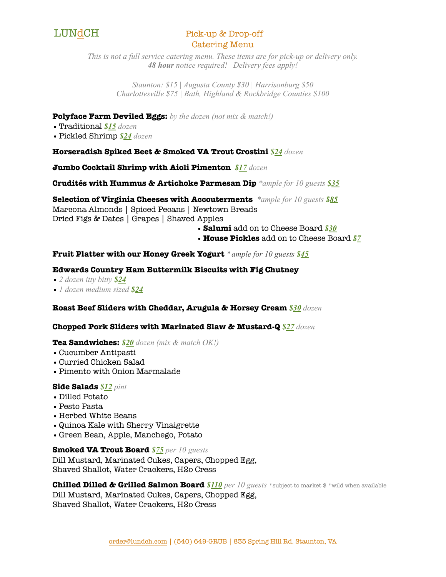

# LUNdCH Pick-up & Drop-off Catering Menu

*This is not a full service catering menu. These items are for pick-up or delivery only. 48 hour notice required! Delivery fees apply!* 

> *Staunton: \$15 | Augusta County \$30 | Harrisonburg \$50 Charlottesville \$75 | Bath, Highland & Rockbridge Counties \$100*

# **Polyface Farm Deviled Eggs:** *by the dozen (not mix & match!)*

- •Traditional *\$15 dozen*
- •Pickled Shrimp *\$24 dozen*

# **Horseradish Spiked Beet & Smoked VA Trout Crostini** *\$24 dozen*

**Jumbo Cocktail Shrimp with Aioli Pimenton** *\$17 dozen*

**Crudités with Hummus & Artichoke Parmesan Dip** *\*ample for 10 guests \$35*

**Selection of Virginia Cheeses with Accouterments** *\*ample for 10 guests \$85* Marcona Almonds | Spiced Pecans | Newtown Breads Dried Figs & Dates | Grapes | Shaved Apples

- •**Salumi** add on to Cheese Board *\$30*
- **House Pickles** add on to Cheese Board *\$7*

# **Fruit Platter with our Honey Greek Yogurt** \**ample for 10 guests \$45*

# **Edwards Country Ham Buttermilk Biscuits with Fig Chutney**

- •*2 dozen itty bitty \$24*
- •*1 dozen medium sized \$24*

# **Roast Beef Sliders with Cheddar, Arugula & Horsey Cream** *\$30 dozen*

# **Chopped Pork Sliders with Marinated Slaw & Mustard-Q** *\$27 dozen*

# **Tea Sandwiches:** *\$20 dozen (mix & match OK!)*

- •Cucumber Antipasti
- •Curried Chicken Salad
- •Pimento with Onion Marmalade

# **Side Salads** *\$12 pint*

- Dilled Potato
- •Pesto Pasta
- •Herbed White Beans
- •Quinoa Kale with Sherry Vinaigrette
- Green Bean, Apple, Manchego, Potato

# **Smoked VA Trout Board** *\$75 per 10 guests*

Dill Mustard, Marinated Cukes, Capers, Chopped Egg, Shaved Shallot, Water Crackers, H2o Cress

**Chilled Dilled & Grilled Salmon Board** *\$110 per 10 guests* \*subject to market \$ \*wild when available

Dill Mustard, Marinated Cukes, Capers, Chopped Egg, Shaved Shallot, Water Crackers, H2o Cress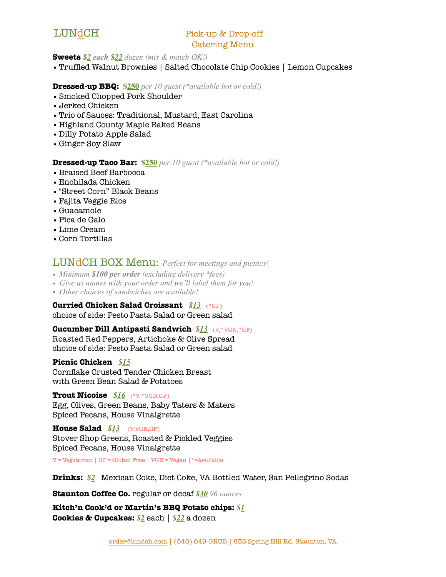# LUNdCH Pick-up & Drop-off Catering Menu

### **Sweets** *\$2 each \$22 dozen (mix & match OK!)*

•Truffled Walnut Brownies | Salted Chocolate Chip Cookies | Lemon Cupcakes

# **Dressed-up BBQ: \$250** *per 10 guest (\*available hot or cold!)*

- •Smoked Chopped Pork Shoulder
- •Jerked Chicken
- •Trio of Sauces: Traditional, Mustard, East Carolina
- •Highland County Maple Baked Beans
- Dilly Potato Apple Salad
- Ginger Soy Slaw

### **Dressed-up Taco Bar: \$250** *per 10 guest (\*available hot or cold!)*

- •Braised Beef Barbocoa
- •Enchilada Chicken
- •"Street Corn" Black Beans
- •Fajita Veggie Rice
- Guacamole
- •Pica de Galo
- •Lime Cream
- •Corn Tortillas

LUNdCH BOX Menu: *Perfect for meetings and picnics!* 

- *• Minimum \$100 per order (excluding delivery \*fees)*
- *• Give us names with your order and we'll label them for you!*
- *• Other choices of sandwiches are available!*

# **Curried Chicken Salad Croissant** *\$13*(\*GF)

choice of side: Pesto Pasta Salad or Green salad

# **Cucumber Dill Antipasti Sandwich** *\$13*(V,\*VGN,\*GF)

Roasted Red Peppers, Artichoke & Olive Spread choice of side: Pesto Pasta Salad or Green salad

### **Picnic Chicken** *\$15*

Cornflake Crusted Tender Chicken Breast with Green Bean Salad & Potatoes

# **Trout Nicoise** *\$16*(\*V,\*VGN,GF)

Egg, Olives, Green Beans, Baby Taters & Maters Spiced Pecans, House Vinaigrette

# **House Salad** *\$13*(V,VGN,GF)

Stover Shop Greens, Roasted & Pickled Veggies Spiced Pecans, House Vinaigrette

V = Vegetarian | GF = Gluten Free | VGN = Vegan |\*=Available

**Drinks:** *\$2*Mexican Coke, Diet Coke, VA Bottled Water, San Pellegrino Sodas

**Staunton Coffee Co.** regular or decaf *\$30 96 ounces*

**Kitch'n Cook'd or Martin's BBQ Potato chips:** *\$1* **Cookies & Cupcakes:** *\$2* each | *\$22* a dozen